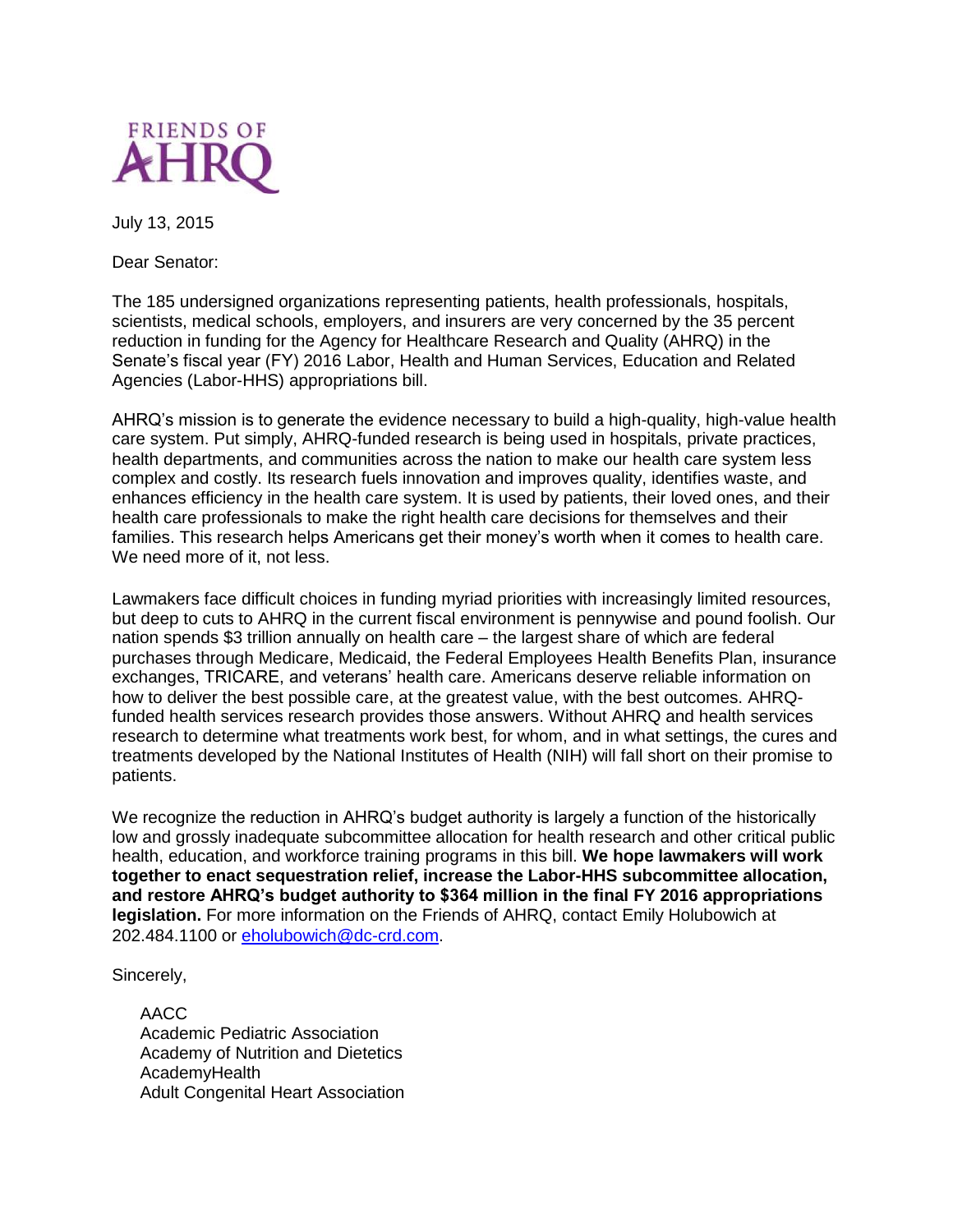

July 13, 2015

Dear Senator:

The 185 undersigned organizations representing patients, health professionals, hospitals, scientists, medical schools, employers, and insurers are very concerned by the 35 percent reduction in funding for the Agency for Healthcare Research and Quality (AHRQ) in the Senate's fiscal year (FY) 2016 Labor, Health and Human Services, Education and Related Agencies (Labor-HHS) appropriations bill.

AHRQ's mission is to generate the evidence necessary to build a high-quality, high-value health care system. Put simply, AHRQ-funded research is being used in hospitals, private practices, health departments, and communities across the nation to make our health care system less complex and costly. Its research fuels innovation and improves quality, identifies waste, and enhances efficiency in the health care system. It is used by patients, their loved ones, and their health care professionals to make the right health care decisions for themselves and their families. This research helps Americans get their money's worth when it comes to health care. We need more of it, not less.

Lawmakers face difficult choices in funding myriad priorities with increasingly limited resources, but deep to cuts to AHRQ in the current fiscal environment is pennywise and pound foolish. Our nation spends \$3 trillion annually on health care – the largest share of which are federal purchases through Medicare, Medicaid, the Federal Employees Health Benefits Plan, insurance exchanges, TRICARE, and veterans' health care. Americans deserve reliable information on how to deliver the best possible care, at the greatest value, with the best outcomes. AHRQfunded health services research provides those answers. Without AHRQ and health services research to determine what treatments work best, for whom, and in what settings, the cures and treatments developed by the National Institutes of Health (NIH) will fall short on their promise to patients.

We recognize the reduction in AHRQ's budget authority is largely a function of the historically low and grossly inadequate subcommittee allocation for health research and other critical public health, education, and workforce training programs in this bill. **We hope lawmakers will work together to enact sequestration relief, increase the Labor-HHS subcommittee allocation, and restore AHRQ's budget authority to \$364 million in the final FY 2016 appropriations legislation.** For more information on the Friends of AHRQ, contact Emily Holubowich at 202.484.1100 or [eholubowich@dc-crd.com.](mailto:eholubowich@dc-crd.com)

Sincerely,

AACC Academic Pediatric Association Academy of Nutrition and Dietetics **AcademvHealth** Adult Congenital Heart Association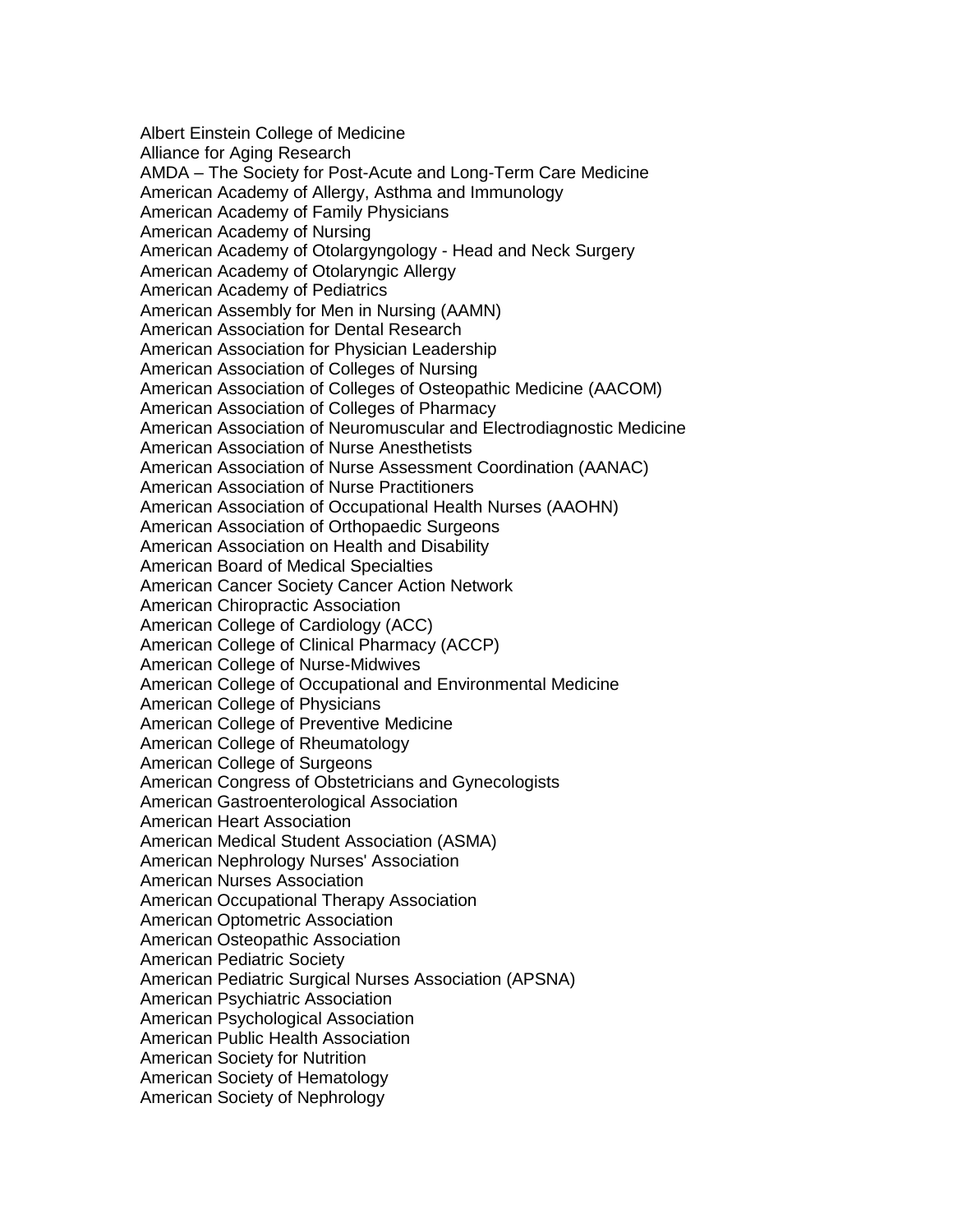Albert Einstein College of Medicine Alliance for Aging Research AMDA – The Society for Post-Acute and Long-Term Care Medicine American Academy of Allergy, Asthma and Immunology American Academy of Family Physicians American Academy of Nursing American Academy of Otolargyngology - Head and Neck Surgery American Academy of Otolaryngic Allergy American Academy of Pediatrics American Assembly for Men in Nursing (AAMN) American Association for Dental Research American Association for Physician Leadership American Association of Colleges of Nursing American Association of Colleges of Osteopathic Medicine (AACOM) American Association of Colleges of Pharmacy American Association of Neuromuscular and Electrodiagnostic Medicine American Association of Nurse Anesthetists American Association of Nurse Assessment Coordination (AANAC) American Association of Nurse Practitioners American Association of Occupational Health Nurses (AAOHN) American Association of Orthopaedic Surgeons American Association on Health and Disability American Board of Medical Specialties American Cancer Society Cancer Action Network American Chiropractic Association American College of Cardiology (ACC) American College of Clinical Pharmacy (ACCP) American College of Nurse-Midwives American College of Occupational and Environmental Medicine American College of Physicians American College of Preventive Medicine American College of Rheumatology American College of Surgeons American Congress of Obstetricians and Gynecologists American Gastroenterological Association American Heart Association American Medical Student Association (ASMA) American Nephrology Nurses' Association American Nurses Association American Occupational Therapy Association American Optometric Association American Osteopathic Association American Pediatric Society American Pediatric Surgical Nurses Association (APSNA) American Psychiatric Association American Psychological Association American Public Health Association American Society for Nutrition American Society of Hematology American Society of Nephrology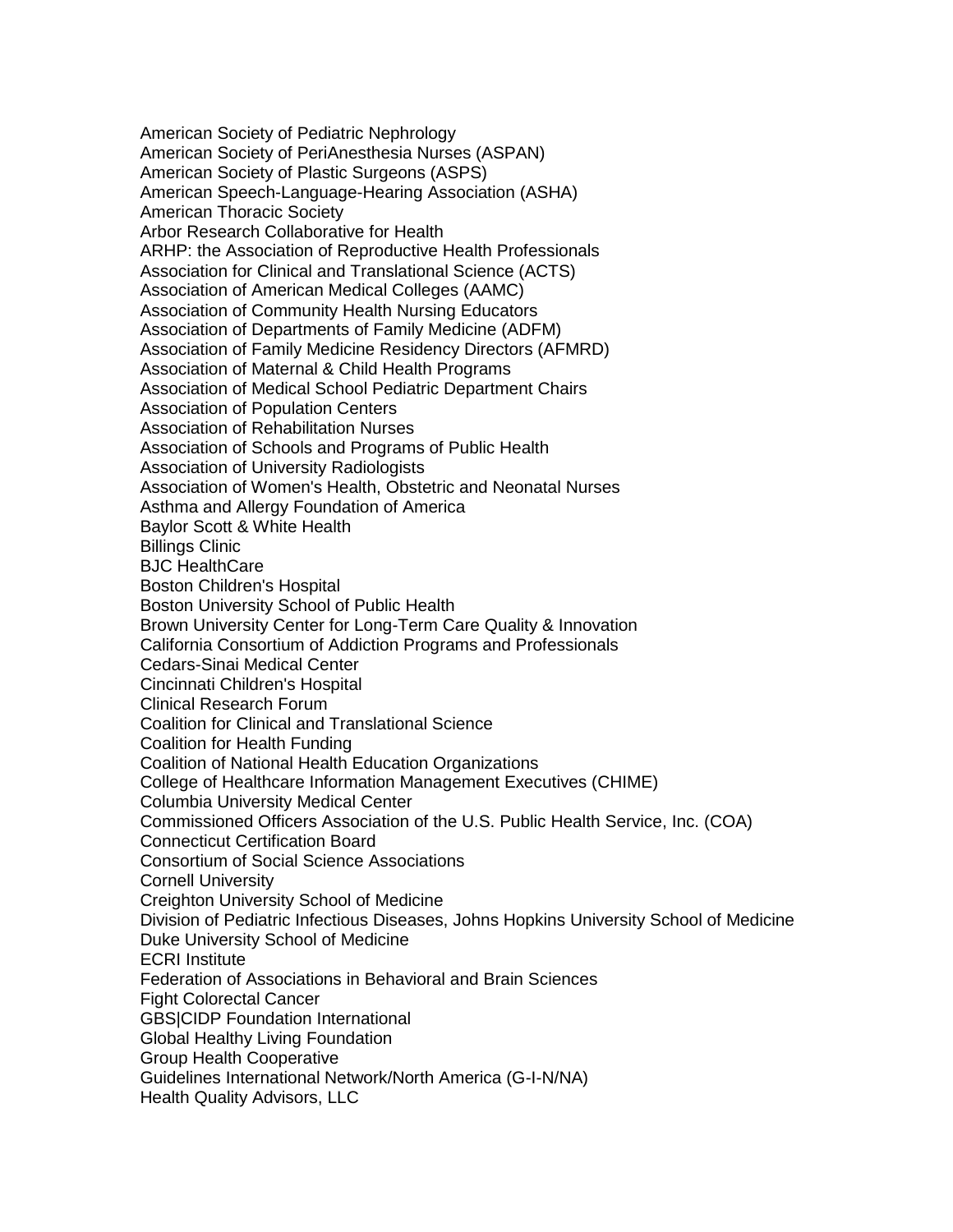American Society of Pediatric Nephrology American Society of PeriAnesthesia Nurses (ASPAN) American Society of Plastic Surgeons (ASPS) American Speech-Language-Hearing Association (ASHA) American Thoracic Society Arbor Research Collaborative for Health ARHP: the Association of Reproductive Health Professionals Association for Clinical and Translational Science (ACTS) Association of American Medical Colleges (AAMC) Association of Community Health Nursing Educators Association of Departments of Family Medicine (ADFM) Association of Family Medicine Residency Directors (AFMRD) Association of Maternal & Child Health Programs Association of Medical School Pediatric Department Chairs Association of Population Centers Association of Rehabilitation Nurses Association of Schools and Programs of Public Health Association of University Radiologists Association of Women's Health, Obstetric and Neonatal Nurses Asthma and Allergy Foundation of America Baylor Scott & White Health Billings Clinic BJC HealthCare Boston Children's Hospital Boston University School of Public Health Brown University Center for Long-Term Care Quality & Innovation California Consortium of Addiction Programs and Professionals Cedars-Sinai Medical Center Cincinnati Children's Hospital Clinical Research Forum Coalition for Clinical and Translational Science Coalition for Health Funding Coalition of National Health Education Organizations College of Healthcare Information Management Executives (CHIME) Columbia University Medical Center Commissioned Officers Association of the U.S. Public Health Service, Inc. (COA) Connecticut Certification Board Consortium of Social Science Associations Cornell University Creighton University School of Medicine Division of Pediatric Infectious Diseases, Johns Hopkins University School of Medicine Duke University School of Medicine ECRI Institute Federation of Associations in Behavioral and Brain Sciences Fight Colorectal Cancer GBS|CIDP Foundation International Global Healthy Living Foundation Group Health Cooperative Guidelines International Network/North America (G-I-N/NA) Health Quality Advisors, LLC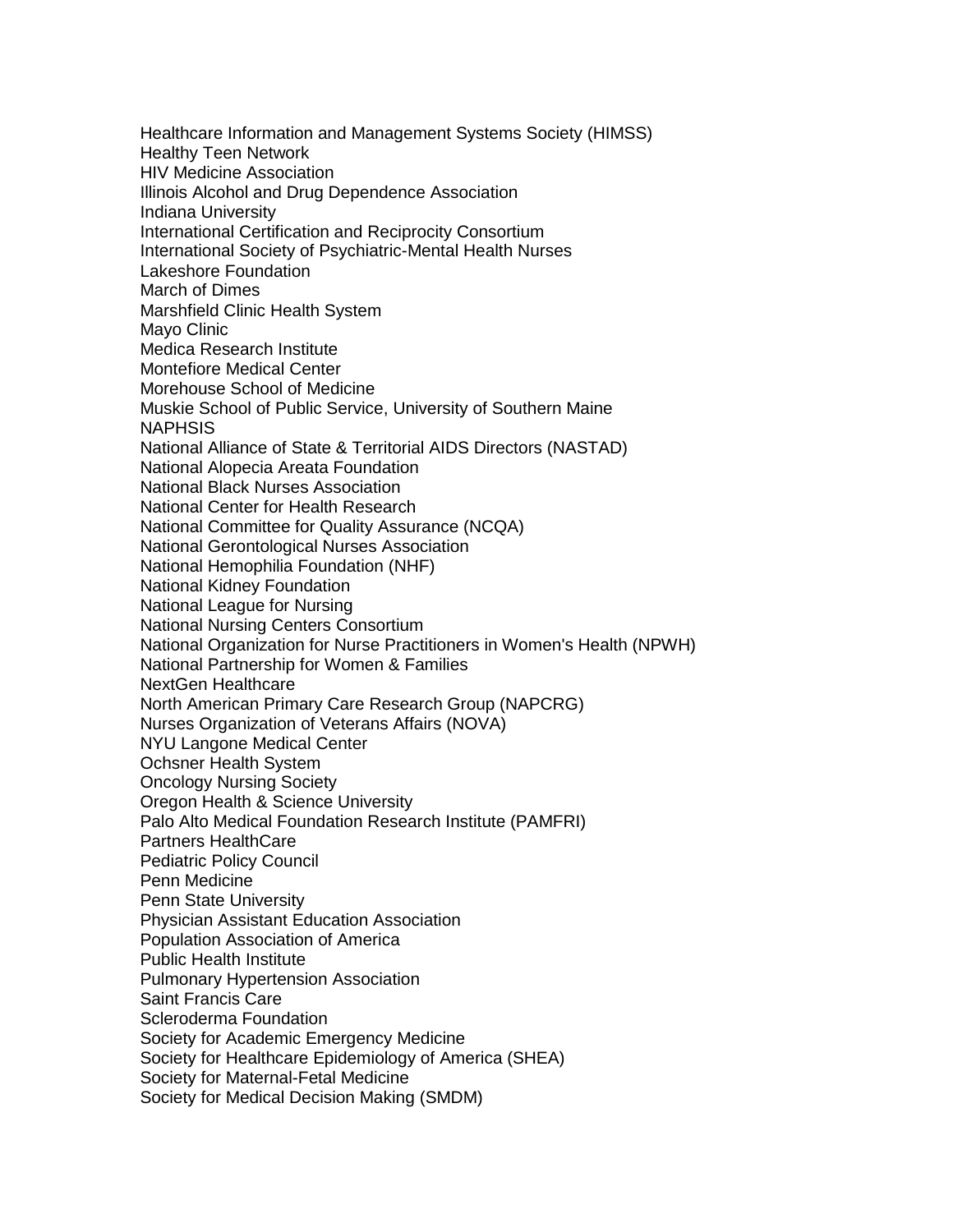Healthcare Information and Management Systems Society (HIMSS) Healthy Teen Network HIV Medicine Association Illinois Alcohol and Drug Dependence Association Indiana University International Certification and Reciprocity Consortium International Society of Psychiatric-Mental Health Nurses Lakeshore Foundation March of Dimes Marshfield Clinic Health System Mayo Clinic Medica Research Institute Montefiore Medical Center Morehouse School of Medicine Muskie School of Public Service, University of Southern Maine NAPHSIS National Alliance of State & Territorial AIDS Directors (NASTAD) National Alopecia Areata Foundation National Black Nurses Association National Center for Health Research National Committee for Quality Assurance (NCQA) National Gerontological Nurses Association National Hemophilia Foundation (NHF) National Kidney Foundation National League for Nursing National Nursing Centers Consortium National Organization for Nurse Practitioners in Women's Health (NPWH) National Partnership for Women & Families NextGen Healthcare North American Primary Care Research Group (NAPCRG) Nurses Organization of Veterans Affairs (NOVA) NYU Langone Medical Center Ochsner Health System Oncology Nursing Society Oregon Health & Science University Palo Alto Medical Foundation Research Institute (PAMFRI) Partners HealthCare Pediatric Policy Council Penn Medicine Penn State University Physician Assistant Education Association Population Association of America Public Health Institute Pulmonary Hypertension Association Saint Francis Care Scleroderma Foundation Society for Academic Emergency Medicine Society for Healthcare Epidemiology of America (SHEA) Society for Maternal-Fetal Medicine Society for Medical Decision Making (SMDM)